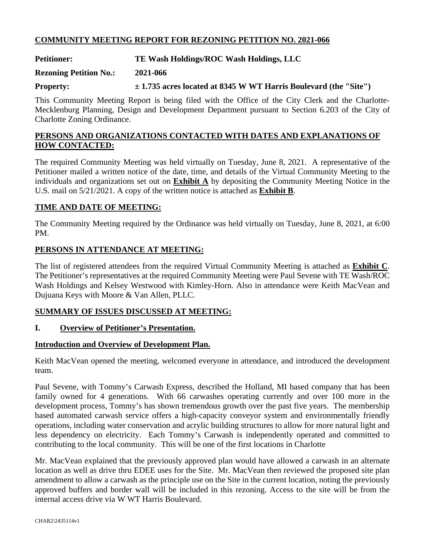# **COMMUNITY MEETING REPORT FOR REZONING PETITION NO. 2021-066**

**Petitioner: TE Wash Holdings/ROC Wash Holdings, LLC** 

**Rezoning Petition No.: 2021-066** 

**Property: ± 1.735 acres located at 8345 W WT Harris Boulevard (the "Site")**

This Community Meeting Report is being filed with the Office of the City Clerk and the Charlotte-Mecklenburg Planning, Design and Development Department pursuant to Section 6.203 of the City of Charlotte Zoning Ordinance.

## **PERSONS AND ORGANIZATIONS CONTACTED WITH DATES AND EXPLANATIONS OF HOW CONTACTED:**

The required Community Meeting was held virtually on Tuesday, June 8, 2021. A representative of the Petitioner mailed a written notice of the date, time, and details of the Virtual Community Meeting to the individuals and organizations set out on **Exhibit A** by depositing the Community Meeting Notice in the U.S. mail on 5/21/2021. A copy of the written notice is attached as **Exhibit B**.

## **TIME AND DATE OF MEETING:**

The Community Meeting required by the Ordinance was held virtually on Tuesday, June 8, 2021, at 6:00 PM.

## **PERSONS IN ATTENDANCE AT MEETING:**

The list of registered attendees from the required Virtual Community Meeting is attached as **Exhibit C**. The Petitioner's representatives at the required Community Meeting were Paul Sevene with TE Wash/ROC Wash Holdings and Kelsey Westwood with Kimley-Horn. Also in attendance were Keith MacVean and Dujuana Keys with Moore & Van Allen, PLLC.

## **SUMMARY OF ISSUES DISCUSSED AT MEETING:**

#### **I. Overview of Petitioner's Presentation.**

#### **Introduction and Overview of Development Plan.**

Keith MacVean opened the meeting, welcomed everyone in attendance, and introduced the development team.

Paul Sevene, with Tommy's Carwash Express, described the Holland, MI based company that has been family owned for 4 generations. With 66 carwashes operating currently and over 100 more in the development process, Tommy's has shown tremendous growth over the past five years. The membership based automated carwash service offers a high-capacity conveyor system and environmentally friendly operations, including water conservation and acrylic building structures to allow for more natural light and less dependency on electricity. Each Tommy's Carwash is independently operated and committed to contributing to the local community. This will be one of the first locations in Charlotte

Mr. MacVean explained that the previously approved plan would have allowed a carwash in an alternate location as well as drive thru EDEE uses for the Site. Mr. MacVean then reviewed the proposed site plan amendment to allow a carwash as the principle use on the Site in the current location, noting the previously approved buffers and border wall will be included in this rezoning. Access to the site will be from the internal access drive via W WT Harris Boulevard.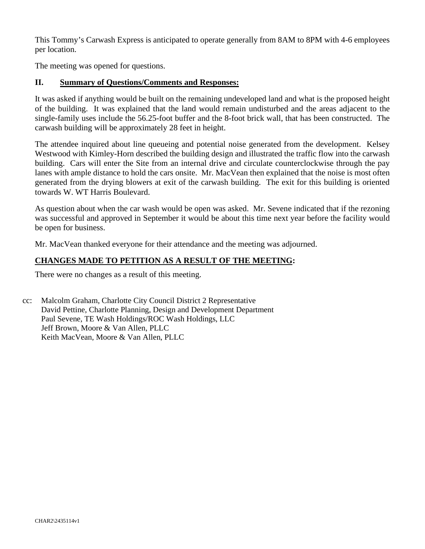This Tommy's Carwash Express is anticipated to operate generally from 8AM to 8PM with 4-6 employees per location.

The meeting was opened for questions.

#### **II. Summary of Questions/Comments and Responses:**

It was asked if anything would be built on the remaining undeveloped land and what is the proposed height of the building. It was explained that the land would remain undisturbed and the areas adjacent to the single-family uses include the 56.25-foot buffer and the 8-foot brick wall, that has been constructed. The carwash building will be approximately 28 feet in height.

The attendee inquired about line queueing and potential noise generated from the development. Kelsey Westwood with Kimley-Horn described the building design and illustrated the traffic flow into the carwash building. Cars will enter the Site from an internal drive and circulate counterclockwise through the pay lanes with ample distance to hold the cars onsite. Mr. MacVean then explained that the noise is most often generated from the drying blowers at exit of the carwash building. The exit for this building is oriented towards W. WT Harris Boulevard.

As question about when the car wash would be open was asked. Mr. Sevene indicated that if the rezoning was successful and approved in September it would be about this time next year before the facility would be open for business.

Mr. MacVean thanked everyone for their attendance and the meeting was adjourned.

## **CHANGES MADE TO PETITION AS A RESULT OF THE MEETING:**

There were no changes as a result of this meeting.

cc: Malcolm Graham, Charlotte City Council District 2 Representative David Pettine, Charlotte Planning, Design and Development Department Paul Sevene, TE Wash Holdings/ROC Wash Holdings, LLC Jeff Brown, Moore & Van Allen, PLLC Keith MacVean, Moore & Van Allen, PLLC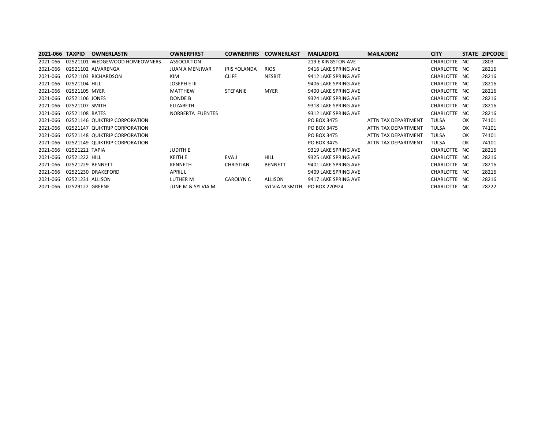| 2021-066 TAXPID          |                  | <b>OWNERLASTN</b>               | <b>OWNERFIRST</b>            | <b>COWNERFIRS</b>   | <b>COWNERLAST</b> | <b>MAILADDR1</b>     | <b>MAILADDR2</b>    | <b>CITY</b>  |     | STATE ZIPCODE |
|--------------------------|------------------|---------------------------------|------------------------------|---------------------|-------------------|----------------------|---------------------|--------------|-----|---------------|
| 2021-066                 |                  | 02521101 WEDGEWOOD HOMEOWNERS   | <b>ASSOCIATION</b>           |                     |                   | 219 E KINGSTON AVE   |                     | CHARLOTTE NC |     | 2803          |
|                          |                  | 2021-066   02521102   ALVARENGA | <b>JUAN A MENJIVAR</b>       | <b>IRIS YOLANDA</b> | <b>RIOS</b>       | 9416 LAKE SPRING AVE |                     | CHARLOTTE NC |     | 28216         |
|                          |                  | 2021-066 02521103 RICHARDSON    | KIM                          | <b>CLIFF</b>        | <b>NESBIT</b>     | 9412 LAKE SPRING AVE |                     | CHARLOTTE NC |     | 28216         |
| 2021-066                 | 02521104 HILL    |                                 | JOSEPH E III                 |                     |                   | 9406 LAKE SPRING AVE |                     | CHARLOTTE NC |     | 28216         |
| 2021-066                 | 02521105 MYER    |                                 | <b>MATTHEW</b>               | <b>STEFANIE</b>     | MYER              | 9400 LAKE SPRING AVE |                     | CHARLOTTE NC |     | 28216         |
| 2021-066                 | 02521106 JONES   |                                 | DONDE B                      |                     |                   | 9324 LAKE SPRING AVE |                     | CHARLOTTE NC |     | 28216         |
| 2021-066 02521107 SMITH  |                  |                                 | <b>ELIZABETH</b>             |                     |                   | 9318 LAKE SPRING AVE |                     | CHARLOTTE NC |     | 28216         |
| 2021-066 02521108 BATES  |                  |                                 | NORBERTA FUENTES             |                     |                   | 9312 LAKE SPRING AVE |                     | CHARLOTTE NC |     | 28216         |
| 2021-066                 |                  | 02521146 QUIKTRIP CORPORATION   |                              |                     |                   | PO BOX 3475          | ATTN TAX DEPARTMENT | <b>TULSA</b> | OK. | 74101         |
| 2021-066                 |                  | 02521147 QUIKTRIP CORPORATION   |                              |                     |                   | PO BOX 3475          | ATTN TAX DEPARTMENT | <b>TULSA</b> | OK. | 74101         |
| 2021-066                 |                  | 02521148 QUIKTRIP CORPORATION   |                              |                     |                   | PO BOX 3475          | ATTN TAX DEPARTMENT | <b>TULSA</b> | OK. | 74101         |
| 2021-066                 |                  | 02521149 QUIKTRIP CORPORATION   |                              |                     |                   | PO BOX 3475          | ATTN TAX DEPARTMENT | <b>TULSA</b> | OK. | 74101         |
| 2021-066                 | 02521221 TAPIA   |                                 | <b>JUDITH E</b>              |                     |                   | 9319 LAKE SPRING AVE |                     | CHARLOTTE NC |     | 28216         |
| 2021-066                 | 02521222 HILL    |                                 | <b>KEITH E</b>               | EVA J               | <b>HILL</b>       | 9325 LAKE SPRING AVE |                     | CHARLOTTE NC |     | 28216         |
| 2021-066                 | 02521229 BENNETT |                                 | <b>KENNETH</b>               | <b>CHRISTIAN</b>    | <b>BENNETT</b>    | 9401 LAKE SPRING AVE |                     | CHARLOTTE NC |     | 28216         |
| 2021-066                 |                  | 02521230 DRAKEFORD              | APRIL L                      |                     |                   | 9409 LAKE SPRING AVE |                     | CHARLOTTE NC |     | 28216         |
| 2021-066                 | 02521231 ALLISON |                                 | LUTHER M                     | CAROLYN C           | ALLISON           | 9417 LAKE SPRING AVE |                     | CHARLOTTE NC |     | 28216         |
| 2021-066 02529122 GREENE |                  |                                 | <b>JUNE M &amp; SYLVIA M</b> |                     | SYLVIA M SMITH    | PO BOX 220924        |                     | CHARLOTTE NC |     | 28222         |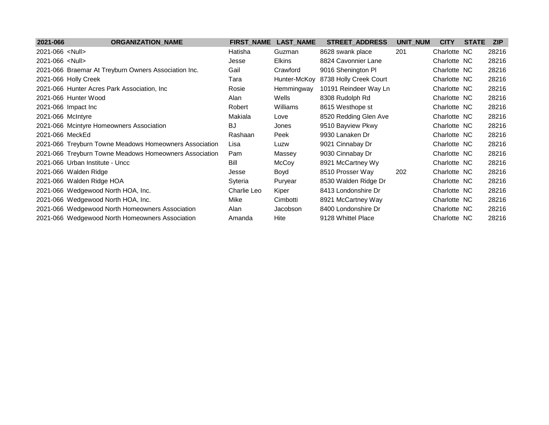| 2021-066               | <b>ORGANIZATION_NAME</b>                               | <b>FIRST_NAME</b> | <b>LAST_NAME</b> | <b>STREET_ADDRESS</b>  | UNIT_NUM | <b>CITY</b>  | <b>STATE</b> | <b>ZIP</b> |
|------------------------|--------------------------------------------------------|-------------------|------------------|------------------------|----------|--------------|--------------|------------|
| 2021-066 <null></null> |                                                        | Hatisha           | Guzman           | 8628 swank place       | 201      | Charlotte NC |              | 28216      |
| 2021-066 <null></null> |                                                        | Jesse             | <b>Elkins</b>    | 8824 Cavonnier Lane    |          | Charlotte NC |              | 28216      |
|                        | 2021-066 Braemar At Treyburn Owners Association Inc.   | Gail              | Crawford         | 9016 Shenington PI     |          | Charlotte NC |              | 28216      |
|                        | 2021-066 Holly Creek                                   | Tara              | Hunter-McKoy     | 8738 Holly Creek Court |          | Charlotte NC |              | 28216      |
|                        | 2021-066 Hunter Acres Park Association, Inc            | Rosie             | Hemmingway       | 10191 Reindeer Way Ln  |          | Charlotte NC |              | 28216      |
|                        | 2021-066 Hunter Wood                                   | Alan              | Wells            | 8308 Rudolph Rd        |          | Charlotte NC |              | 28216      |
|                        | 2021-066 Impact Inc                                    | Robert            | Williams         | 8615 Westhope st       |          | Charlotte NC |              | 28216      |
| 2021-066 McIntyre      |                                                        | Makiala           | Love             | 8520 Redding Glen Ave  |          | Charlotte NC |              | 28216      |
|                        | 2021-066 Mcintyre Homeowners Association               | BJ                | Jones            | 9510 Bayview Pkwy      |          | Charlotte NC |              | 28216      |
| 2021-066 MeckEd        |                                                        | Rashaan           | Peek             | 9930 Lanaken Dr        |          | Charlotte NC |              | 28216      |
|                        | 2021-066 Treyburn Towne Meadows Homeowners Association | Lisa              | Luzw             | 9021 Cinnabay Dr       |          | Charlotte NC |              | 28216      |
|                        | 2021-066 Treyburn Towne Meadows Homeowners Association | Pam               | Massey           | 9030 Cinnabay Dr       |          | Charlotte NC |              | 28216      |
|                        | 2021-066 Urban Institute - Uncc                        | Bill              | McCoy            | 8921 McCartney Wy      |          | Charlotte NC |              | 28216      |
|                        | 2021-066 Walden Ridge                                  | Jesse             | Boyd             | 8510 Prosser Way       | 202      | Charlotte NC |              | 28216      |
|                        | 2021-066 Walden Ridge HOA                              | Syteria           | Puryear          | 8530 Walden Ridge Dr   |          | Charlotte NC |              | 28216      |
|                        | 2021-066 Wedgewood North HOA, Inc.                     | Charlie Leo       | Kiper            | 8413 Londonshire Dr    |          | Charlotte NC |              | 28216      |
|                        | 2021-066 Wedgewood North HOA, Inc.                     | Mike              | Cimbotti         | 8921 McCartney Way     |          | Charlotte NC |              | 28216      |
|                        | 2021-066 Wedgewood North Homeowners Association        | Alan              | Jacobson         | 8400 Londonshire Dr    |          | Charlotte NC |              | 28216      |
|                        | 2021-066 Wedgewood North Homeowners Association        | Amanda            | Hite             | 9128 Whittel Place     |          | Charlotte NC |              | 28216      |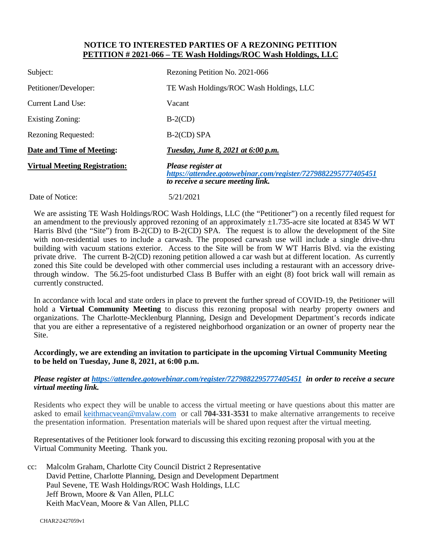#### **NOTICE TO INTERESTED PARTIES OF A REZONING PETITION PETITION # 2021-066 – TE Wash Holdings/ROC Wash Holdings, LLC**

| Subject:                             | Rezoning Petition No. 2021-066                                                                                           |  |  |  |  |
|--------------------------------------|--------------------------------------------------------------------------------------------------------------------------|--|--|--|--|
| Petitioner/Developer:                | TE Wash Holdings/ROC Wash Holdings, LLC                                                                                  |  |  |  |  |
| <b>Current Land Use:</b>             | Vacant                                                                                                                   |  |  |  |  |
| <b>Existing Zoning:</b>              | $B-2(CD)$                                                                                                                |  |  |  |  |
| <b>Rezoning Requested:</b>           | $B-2$ (CD) SPA                                                                                                           |  |  |  |  |
| Date and Time of Meeting:            | Tuesday, June 8, 2021 at 6:00 p.m.                                                                                       |  |  |  |  |
| <b>Virtual Meeting Registration:</b> | Please register at<br>https://attendee.gotowebinar.com/register/7279882295777405451<br>to receive a secure meeting link. |  |  |  |  |
| Date of Notice:                      | 5/21/2021                                                                                                                |  |  |  |  |

We are assisting TE Wash Holdings/ROC Wash Holdings, LLC (the "Petitioner") on a recently filed request for an amendment to the previously approved rezoning of an approximately  $\pm 1.735$ -acre site located at 8345 W WT Harris Blvd (the "Site") from B-2(CD) to B-2(CD) SPA. The request is to allow the development of the Site with non-residential uses to include a carwash. The proposed carwash use will include a single drive-thru building with vacuum stations exterior. Access to the Site will be from W WT Harris Blvd. via the existing private drive. The current B-2(CD) rezoning petition allowed a car wash but at different location. As currently zoned this Site could be developed with other commercial uses including a restaurant with an accessory drivethrough window. The 56.25-foot undisturbed Class B Buffer with an eight (8) foot brick wall will remain as currently constructed.

In accordance with local and state orders in place to prevent the further spread of COVID-19, the Petitioner will hold a **Virtual Community Meeting** to discuss this rezoning proposal with nearby property owners and organizations. The Charlotte-Mecklenburg Planning, Design and Development Department's records indicate that you are either a representative of a registered neighborhood organization or an owner of property near the Site.

#### **Accordingly, we are extending an invitation to participate in the upcoming Virtual Community Meeting to be held on Tuesday, June 8, 2021, at 6:00 p.m.**

#### *Please register at https://attendee.gotowebinar.com/register/7279882295777405451 in order to receive a secure virtual meeting link.*

Residents who expect they will be unable to access the virtual meeting or have questions about this matter are asked to email keithmacvean@mvalaw.com or call **704-331-3531** to make alternative arrangements to receive the presentation information. Presentation materials will be shared upon request after the virtual meeting.

Representatives of the Petitioner look forward to discussing this exciting rezoning proposal with you at the Virtual Community Meeting. Thank you.

cc: Malcolm Graham, Charlotte City Council District 2 Representative David Pettine, Charlotte Planning, Design and Development Department Paul Sevene, TE Wash Holdings/ROC Wash Holdings, LLC Jeff Brown, Moore & Van Allen, PLLC Keith MacVean, Moore & Van Allen, PLLC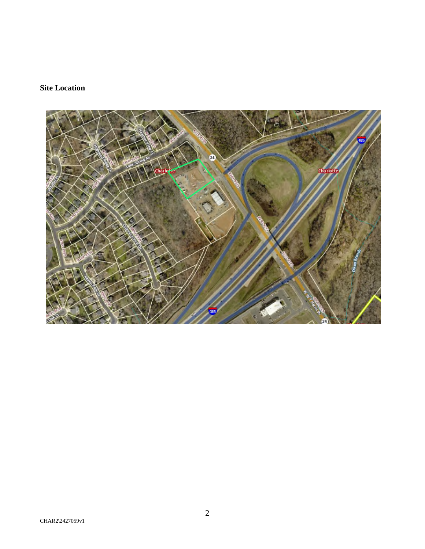# **Site Location**